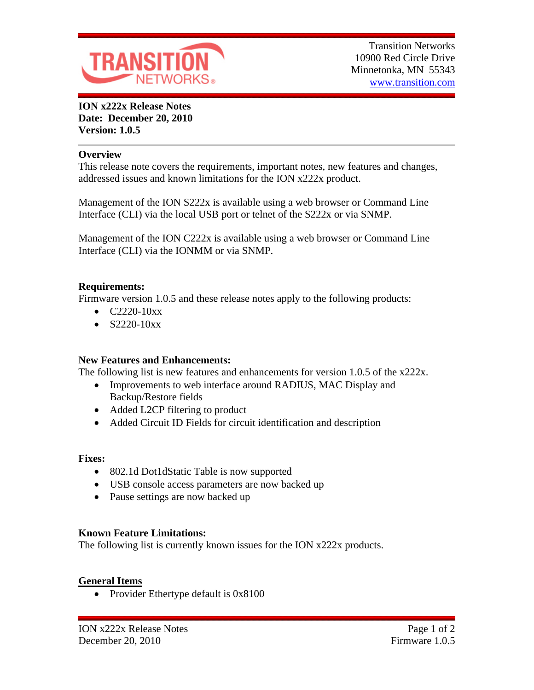

**ION x222x Release Notes Date: December 20, 2010 Version: 1.0.5**

### **Overview**

This release note covers the requirements, important notes, new features and changes, addressed issues and known limitations for the ION x222x product.

Management of the ION S222x is available using a web browser or Command Line Interface (CLI) via the local USB port or telnet of the S222x or via SNMP.

Management of the ION C222x is available using a web browser or Command Line Interface (CLI) via the IONMM or via SNMP.

### **Requirements:**

Firmware version 1.0.5 and these release notes apply to the following products:

- $\bullet$  C2220-10xx
- $\bullet$  S2220-10xx

### **New Features and Enhancements:**

The following list is new features and enhancements for version 1.0.5 of the x222x.

- Improvements to web interface around RADIUS, MAC Display and Backup/Restore fields
- Added L2CP filtering to product
- Added Circuit ID Fields for circuit identification and description

### **Fixes:**

- 802.1d Dot1dStatic Table is now supported
- USB console access parameters are now backed up
- Pause settings are now backed up

## **Known Feature Limitations:**

The following list is currently known issues for the ION x222x products.

## **General Items**

• Provider Ethertype default is 0x8100